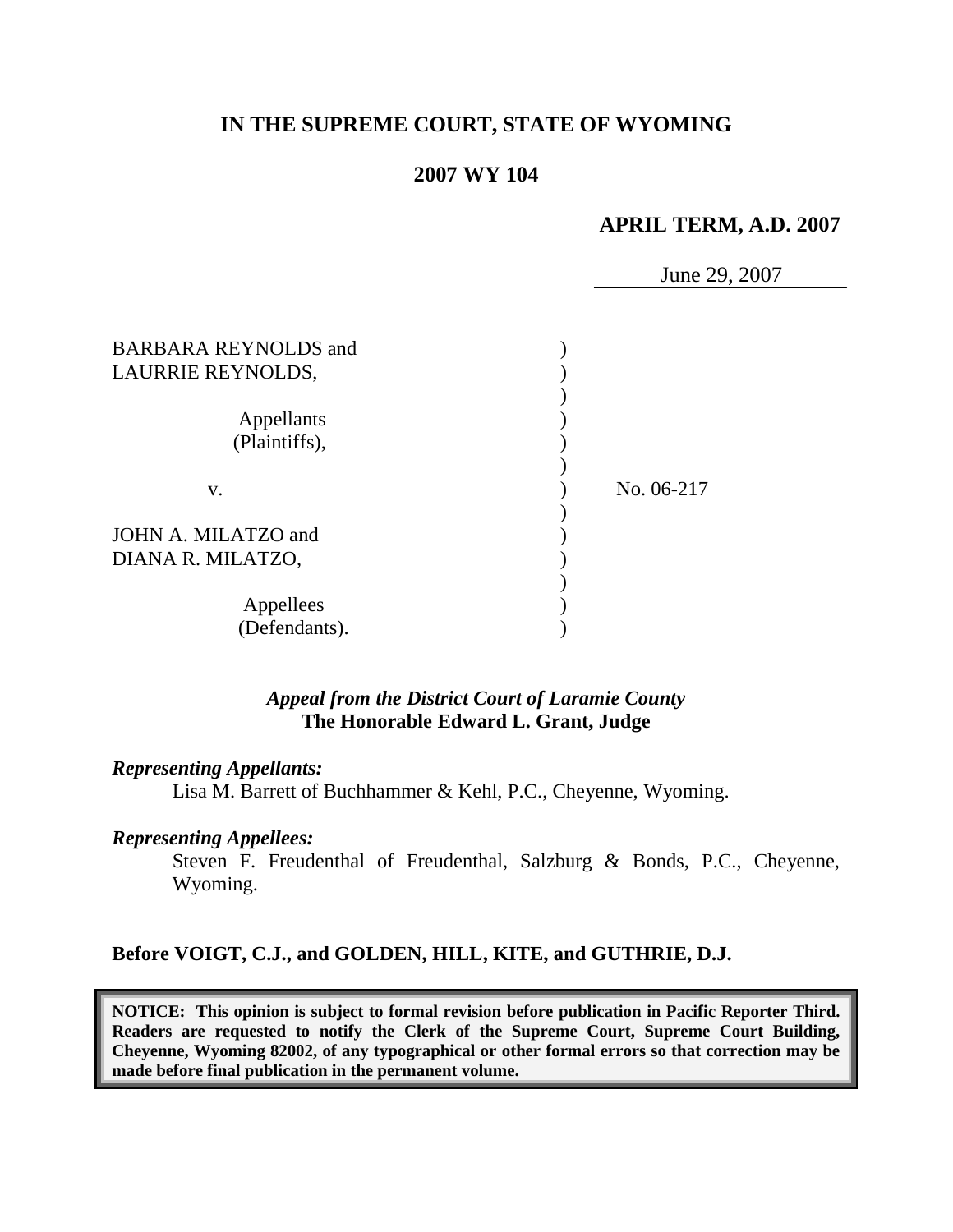# **IN THE SUPREME COURT, STATE OF WYOMING**

## **2007 WY 104**

## **APRIL TERM, A.D. 2007**

June 29, 2007

| <b>BARBARA REYNOLDS</b> and<br>LAURRIE REYNOLDS, |            |
|--------------------------------------------------|------------|
| Appellants<br>(Plaintiffs),                      |            |
| V.                                               | No. 06-217 |
| JOHN A. MILATZO and<br>DIANA R. MILATZO,         |            |
| Appellees<br>(Defendants).                       |            |

### *Appeal from the District Court of Laramie County* **The Honorable Edward L. Grant, Judge**

#### *Representing Appellants:*

Lisa M. Barrett of Buchhammer & Kehl, P.C., Cheyenne, Wyoming.

#### *Representing Appellees:*

Steven F. Freudenthal of Freudenthal, Salzburg & Bonds, P.C., Cheyenne, Wyoming.

#### **Before VOIGT, C.J., and GOLDEN, HILL, KITE, and GUTHRIE, D.J.**

**NOTICE: This opinion is subject to formal revision before publication in Pacific Reporter Third. Readers are requested to notify the Clerk of the Supreme Court, Supreme Court Building, Cheyenne, Wyoming 82002, of any typographical or other formal errors so that correction may be made before final publication in the permanent volume.**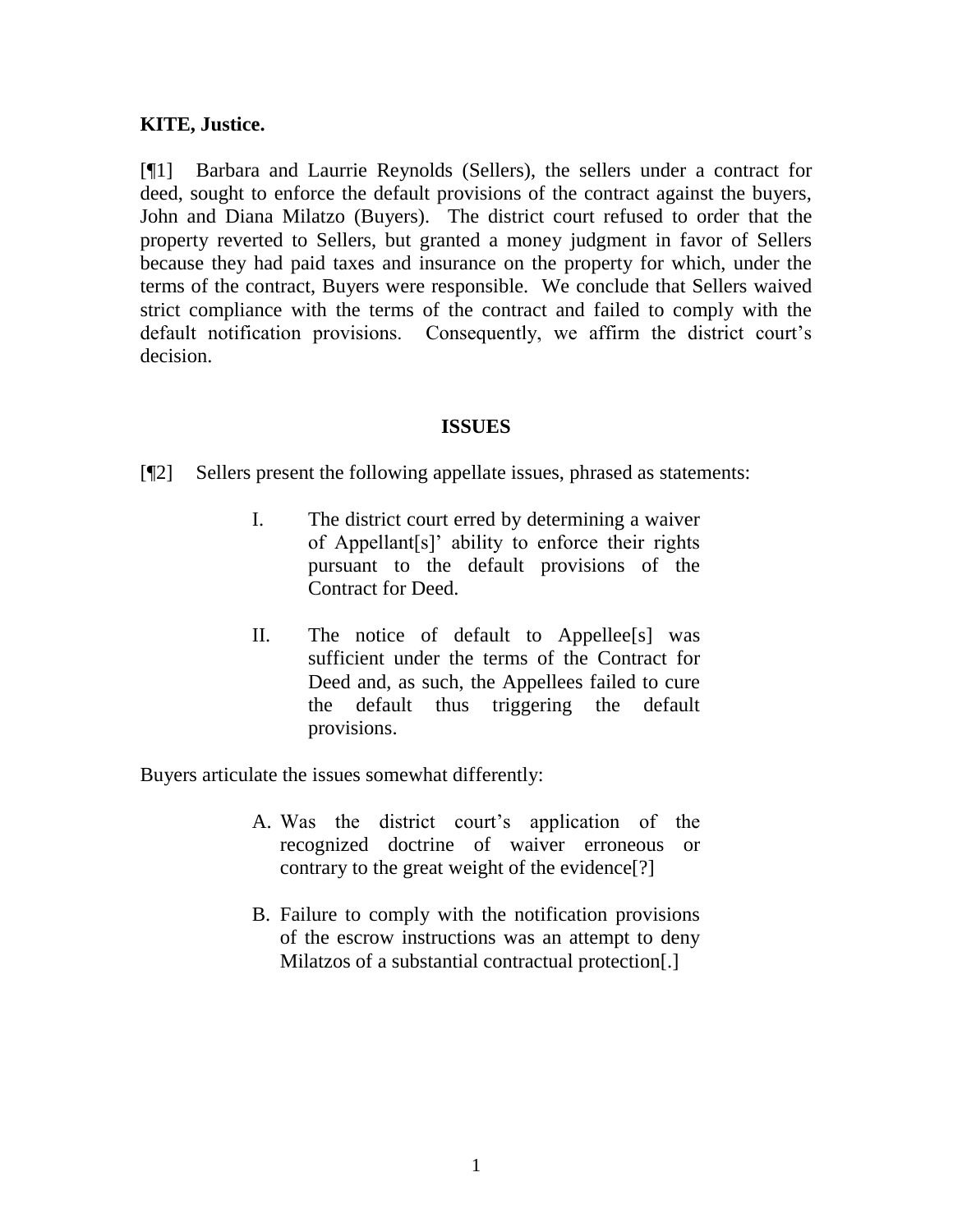## **KITE, Justice.**

[¶1] Barbara and Laurrie Reynolds (Sellers), the sellers under a contract for deed, sought to enforce the default provisions of the contract against the buyers, John and Diana Milatzo (Buyers). The district court refused to order that the property reverted to Sellers, but granted a money judgment in favor of Sellers because they had paid taxes and insurance on the property for which, under the terms of the contract, Buyers were responsible. We conclude that Sellers waived strict compliance with the terms of the contract and failed to comply with the default notification provisions. Consequently, we affirm the district court's decision.

### **ISSUES**

[¶2] Sellers present the following appellate issues, phrased as statements:

- I. The district court erred by determining a waiver of Appellant[s]" ability to enforce their rights pursuant to the default provisions of the Contract for Deed.
- II. The notice of default to Appellee[s] was sufficient under the terms of the Contract for Deed and, as such, the Appellees failed to cure the default thus triggering the default provisions.

Buyers articulate the issues somewhat differently:

- A. Was the district court"s application of the recognized doctrine of waiver erroneous or contrary to the great weight of the evidence[?]
- B. Failure to comply with the notification provisions of the escrow instructions was an attempt to deny Milatzos of a substantial contractual protection.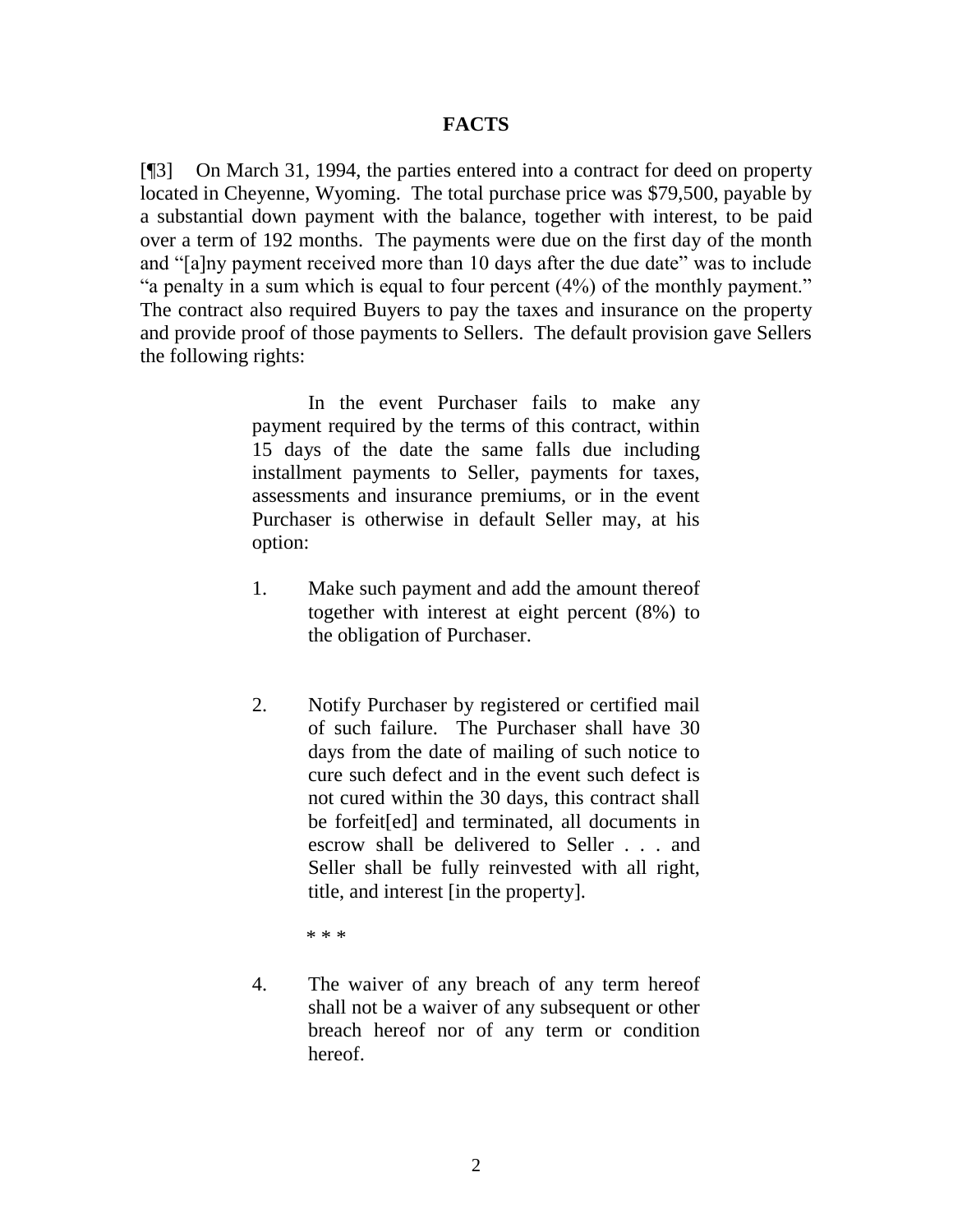### **FACTS**

[¶3] On March 31, 1994, the parties entered into a contract for deed on property located in Cheyenne, Wyoming. The total purchase price was \$79,500, payable by a substantial down payment with the balance, together with interest, to be paid over a term of 192 months. The payments were due on the first day of the month and "[a]ny payment received more than 10 days after the due date" was to include "a penalty in a sum which is equal to four percent (4%) of the monthly payment." The contract also required Buyers to pay the taxes and insurance on the property and provide proof of those payments to Sellers. The default provision gave Sellers the following rights:

> In the event Purchaser fails to make any payment required by the terms of this contract, within 15 days of the date the same falls due including installment payments to Seller, payments for taxes, assessments and insurance premiums, or in the event Purchaser is otherwise in default Seller may, at his option:

- 1. Make such payment and add the amount thereof together with interest at eight percent (8%) to the obligation of Purchaser.
- 2. Notify Purchaser by registered or certified mail of such failure. The Purchaser shall have 30 days from the date of mailing of such notice to cure such defect and in the event such defect is not cured within the 30 days, this contract shall be forfeit[ed] and terminated, all documents in escrow shall be delivered to Seller . . . and Seller shall be fully reinvested with all right, title, and interest [in the property].
	- \* \* \*
- 4. The waiver of any breach of any term hereof shall not be a waiver of any subsequent or other breach hereof nor of any term or condition hereof.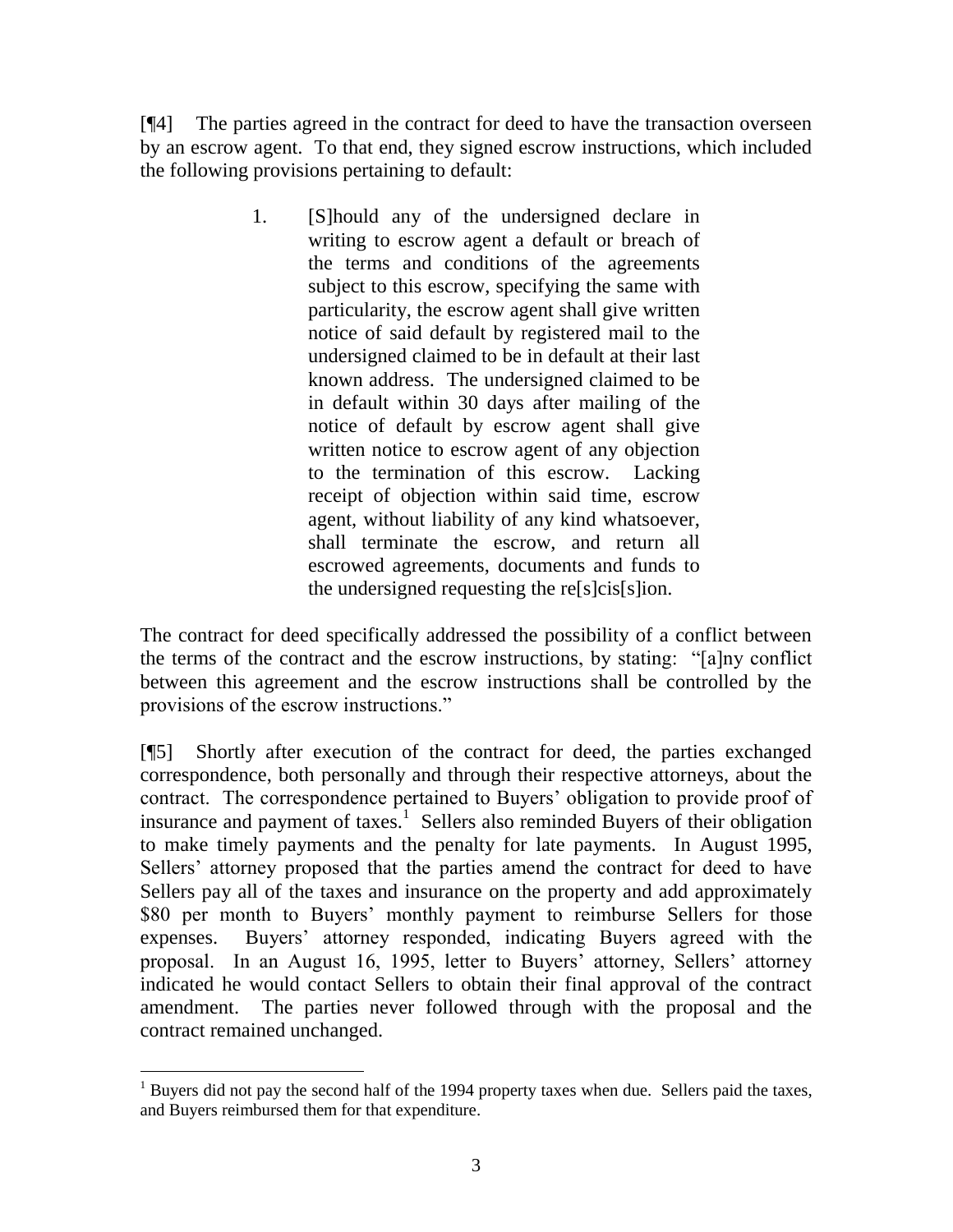[¶4] The parties agreed in the contract for deed to have the transaction overseen by an escrow agent. To that end, they signed escrow instructions, which included the following provisions pertaining to default:

> 1. [S]hould any of the undersigned declare in writing to escrow agent a default or breach of the terms and conditions of the agreements subject to this escrow, specifying the same with particularity, the escrow agent shall give written notice of said default by registered mail to the undersigned claimed to be in default at their last known address. The undersigned claimed to be in default within 30 days after mailing of the notice of default by escrow agent shall give written notice to escrow agent of any objection to the termination of this escrow. Lacking receipt of objection within said time, escrow agent, without liability of any kind whatsoever, shall terminate the escrow, and return all escrowed agreements, documents and funds to the undersigned requesting the re[s]cis[s]ion.

The contract for deed specifically addressed the possibility of a conflict between the terms of the contract and the escrow instructions, by stating: "[a]ny conflict between this agreement and the escrow instructions shall be controlled by the provisions of the escrow instructions."

[¶5] Shortly after execution of the contract for deed, the parties exchanged correspondence, both personally and through their respective attorneys, about the contract. The correspondence pertained to Buyers' obligation to provide proof of insurance and payment of taxes.<sup>1</sup> Sellers also reminded Buyers of their obligation to make timely payments and the penalty for late payments. In August 1995, Sellers' attorney proposed that the parties amend the contract for deed to have Sellers pay all of the taxes and insurance on the property and add approximately \$80 per month to Buyers' monthly payment to reimburse Sellers for those expenses. Buyers' attorney responded, indicating Buyers agreed with the proposal. In an August 16, 1995, letter to Buyers" attorney, Sellers" attorney indicated he would contact Sellers to obtain their final approval of the contract amendment. The parties never followed through with the proposal and the contract remained unchanged.

  $<sup>1</sup>$  Buyers did not pay the second half of the 1994 property taxes when due. Sellers paid the taxes,</sup> and Buyers reimbursed them for that expenditure.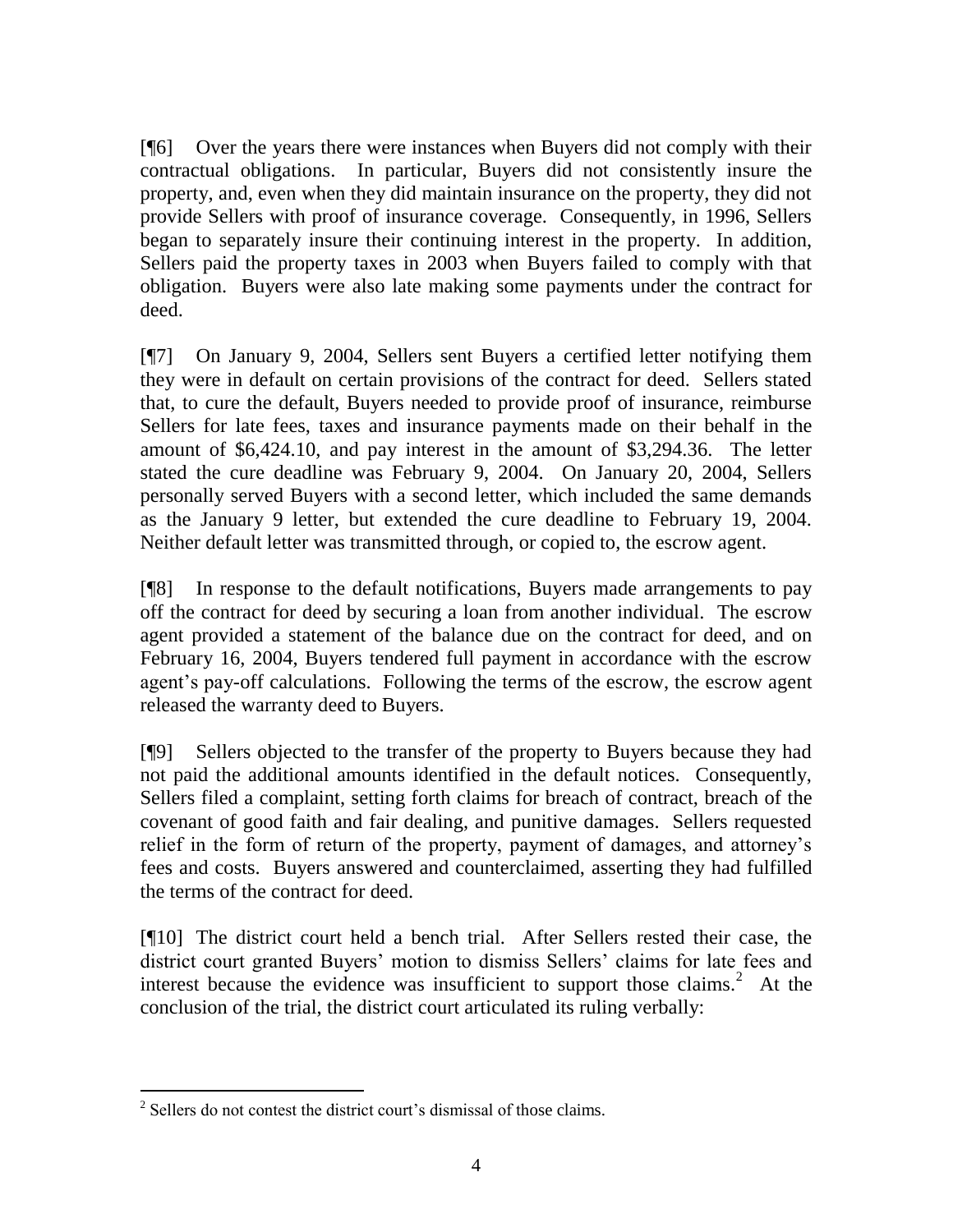[¶6] Over the years there were instances when Buyers did not comply with their contractual obligations. In particular, Buyers did not consistently insure the property, and, even when they did maintain insurance on the property, they did not provide Sellers with proof of insurance coverage. Consequently, in 1996, Sellers began to separately insure their continuing interest in the property. In addition, Sellers paid the property taxes in 2003 when Buyers failed to comply with that obligation. Buyers were also late making some payments under the contract for deed.

[¶7] On January 9, 2004, Sellers sent Buyers a certified letter notifying them they were in default on certain provisions of the contract for deed. Sellers stated that, to cure the default, Buyers needed to provide proof of insurance, reimburse Sellers for late fees, taxes and insurance payments made on their behalf in the amount of \$6,424.10, and pay interest in the amount of \$3,294.36. The letter stated the cure deadline was February 9, 2004. On January 20, 2004, Sellers personally served Buyers with a second letter, which included the same demands as the January 9 letter, but extended the cure deadline to February 19, 2004. Neither default letter was transmitted through, or copied to, the escrow agent.

[¶8] In response to the default notifications, Buyers made arrangements to pay off the contract for deed by securing a loan from another individual. The escrow agent provided a statement of the balance due on the contract for deed, and on February 16, 2004, Buyers tendered full payment in accordance with the escrow agent's pay-off calculations. Following the terms of the escrow, the escrow agent released the warranty deed to Buyers.

[¶9] Sellers objected to the transfer of the property to Buyers because they had not paid the additional amounts identified in the default notices. Consequently, Sellers filed a complaint, setting forth claims for breach of contract, breach of the covenant of good faith and fair dealing, and punitive damages. Sellers requested relief in the form of return of the property, payment of damages, and attorney"s fees and costs. Buyers answered and counterclaimed, asserting they had fulfilled the terms of the contract for deed.

[¶10] The district court held a bench trial. After Sellers rested their case, the district court granted Buyers" motion to dismiss Sellers" claims for late fees and interest because the evidence was insufficient to support those claims.<sup>2</sup> At the conclusion of the trial, the district court articulated its ruling verbally:

 $\overline{a}$ 

 $2^2$  Sellers do not contest the district court's dismissal of those claims.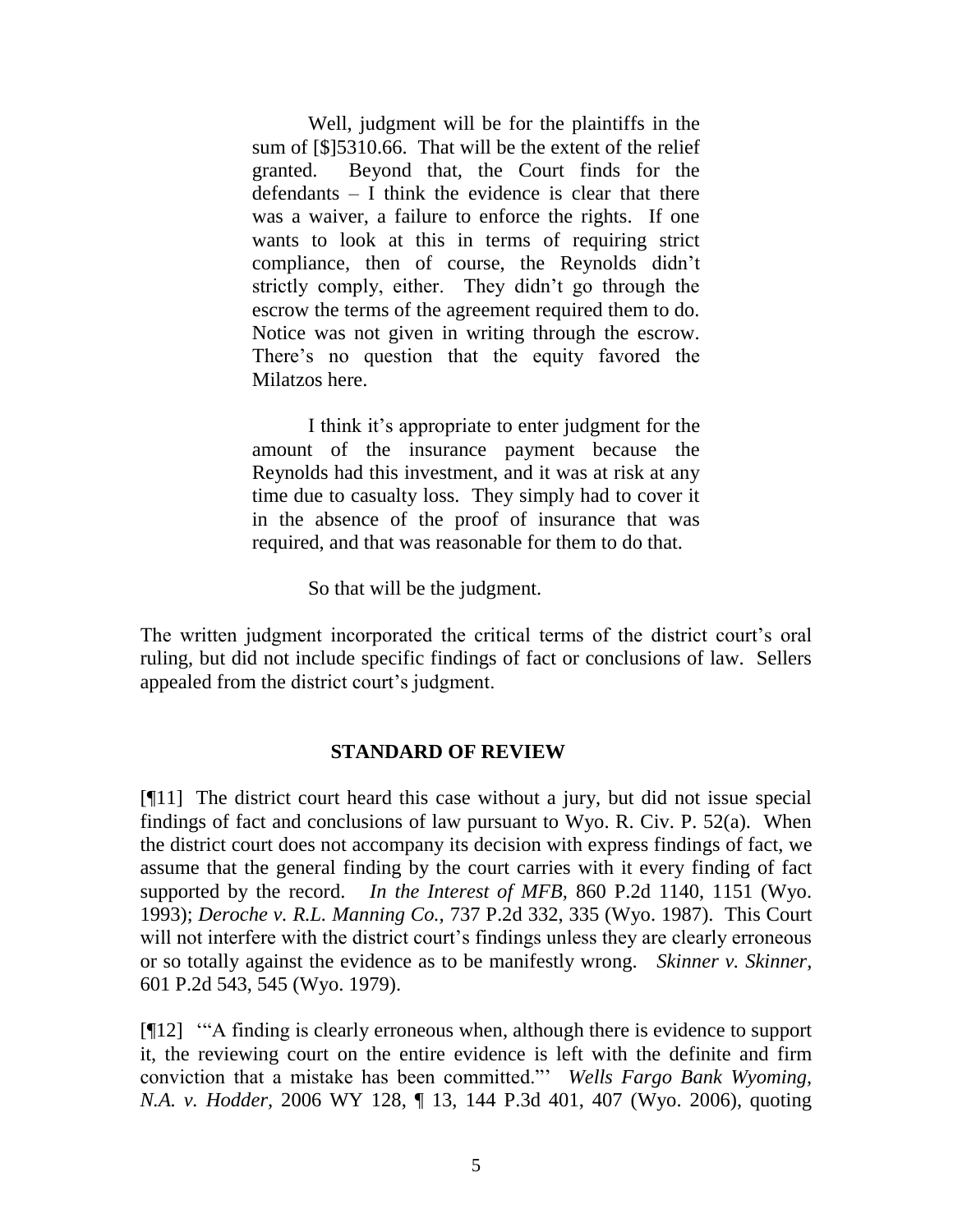Well, judgment will be for the plaintiffs in the sum of [\$]5310.66. That will be the extent of the relief granted. Beyond that, the Court finds for the defendants – I think the evidence is clear that there was a waiver, a failure to enforce the rights. If one wants to look at this in terms of requiring strict compliance, then of course, the Reynolds didn"t strictly comply, either. They didn"t go through the escrow the terms of the agreement required them to do. Notice was not given in writing through the escrow. There"s no question that the equity favored the Milatzos here.

I think it"s appropriate to enter judgment for the amount of the insurance payment because the Reynolds had this investment, and it was at risk at any time due to casualty loss. They simply had to cover it in the absence of the proof of insurance that was required, and that was reasonable for them to do that.

So that will be the judgment.

The written judgment incorporated the critical terms of the district court's oral ruling, but did not include specific findings of fact or conclusions of law. Sellers appealed from the district court's judgment.

#### **STANDARD OF REVIEW**

[¶11] The district court heard this case without a jury, but did not issue special findings of fact and conclusions of law pursuant to Wyo. R. Civ. P. 52(a). When the district court does not accompany its decision with express findings of fact, we assume that the general finding by the court carries with it every finding of fact supported by the record. *In the Interest of MFB,* 860 P.2d 1140, 1151 (Wyo. 1993); *Deroche v. R.L. Manning Co.,* 737 P.2d 332, 335 (Wyo. 1987). This Court will not interfere with the district court's findings unless they are clearly erroneous or so totally against the evidence as to be manifestly wrong. *Skinner v. Skinner,*  601 P.2d 543, 545 (Wyo. 1979).

[¶12] ""A finding is clearly erroneous when, although there is evidence to support it, the reviewing court on the entire evidence is left with the definite and firm conviction that a mistake has been committed."" *Wells Fargo Bank Wyoming, N.A. v. Hodder,* 2006 WY 128, ¶ 13, 144 P.3d 401, 407 (Wyo. 2006), quoting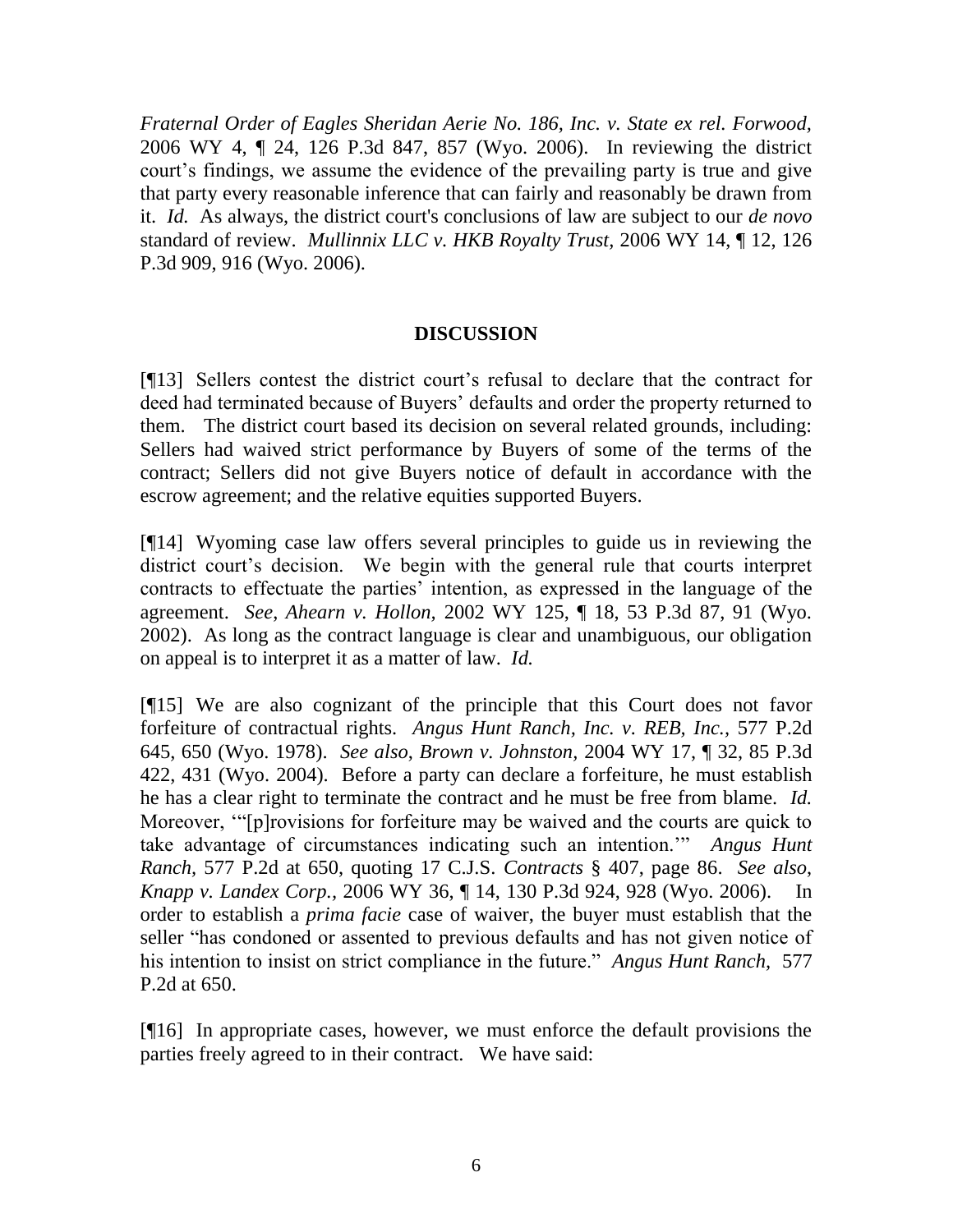*Fraternal Order of Eagles Sheridan Aerie No. 186, Inc. v. State ex rel. Forwood,*  2006 WY 4, ¶ 24, 126 P.3d 847, 857 (Wyo. 2006). In reviewing the district court's findings, we assume the evidence of the prevailing party is true and give that party every reasonable inference that can fairly and reasonably be drawn from it. *Id.* As always, the district court's conclusions of law are subject to our *de novo* standard of review. *Mullinnix LLC v. HKB Royalty Trust,* 2006 WY 14, ¶ 12, 126 P.3d 909, 916 (Wyo. 2006).

### **DISCUSSION**

[¶13] Sellers contest the district court"s refusal to declare that the contract for deed had terminated because of Buyers" defaults and order the property returned to them. The district court based its decision on several related grounds, including: Sellers had waived strict performance by Buyers of some of the terms of the contract; Sellers did not give Buyers notice of default in accordance with the escrow agreement; and the relative equities supported Buyers.

[¶14] Wyoming case law offers several principles to guide us in reviewing the district court's decision. We begin with the general rule that courts interpret contracts to effectuate the parties' intention, as expressed in the language of the agreement. *See*, *Ahearn v. Hollon,* 2002 WY 125, ¶ 18, 53 P.3d 87, 91 (Wyo. 2002). As long as the contract language is clear and unambiguous, our obligation on appeal is to interpret it as a matter of law. *Id.* 

[¶15] We are also cognizant of the principle that this Court does not favor forfeiture of contractual rights. *Angus Hunt Ranch, Inc. v. REB, Inc.,* 577 P.2d 645, 650 (Wyo. 1978). *See also*, *Brown v. Johnston,* 2004 WY 17, ¶ 32, 85 P.3d 422, 431 (Wyo. 2004). Before a party can declare a forfeiture, he must establish he has a clear right to terminate the contract and he must be free from blame. *Id.*  Moreover, ""[p]rovisions for forfeiture may be waived and the courts are quick to take advantage of circumstances indicating such an intention."" *Angus Hunt Ranch,* 577 P.2d at 650, quoting 17 C.J.S. *Contracts* § 407, page 86. *See also*, *Knapp v. Landex Corp.,* 2006 WY 36, ¶ 14, 130 P.3d 924, 928 (Wyo. 2006). In order to establish a *prima facie* case of waiver, the buyer must establish that the seller "has condoned or assented to previous defaults and has not given notice of his intention to insist on strict compliance in the future." *Angus Hunt Ranch,* 577 P.2d at 650.

[¶16] In appropriate cases, however, we must enforce the default provisions the parties freely agreed to in their contract. We have said: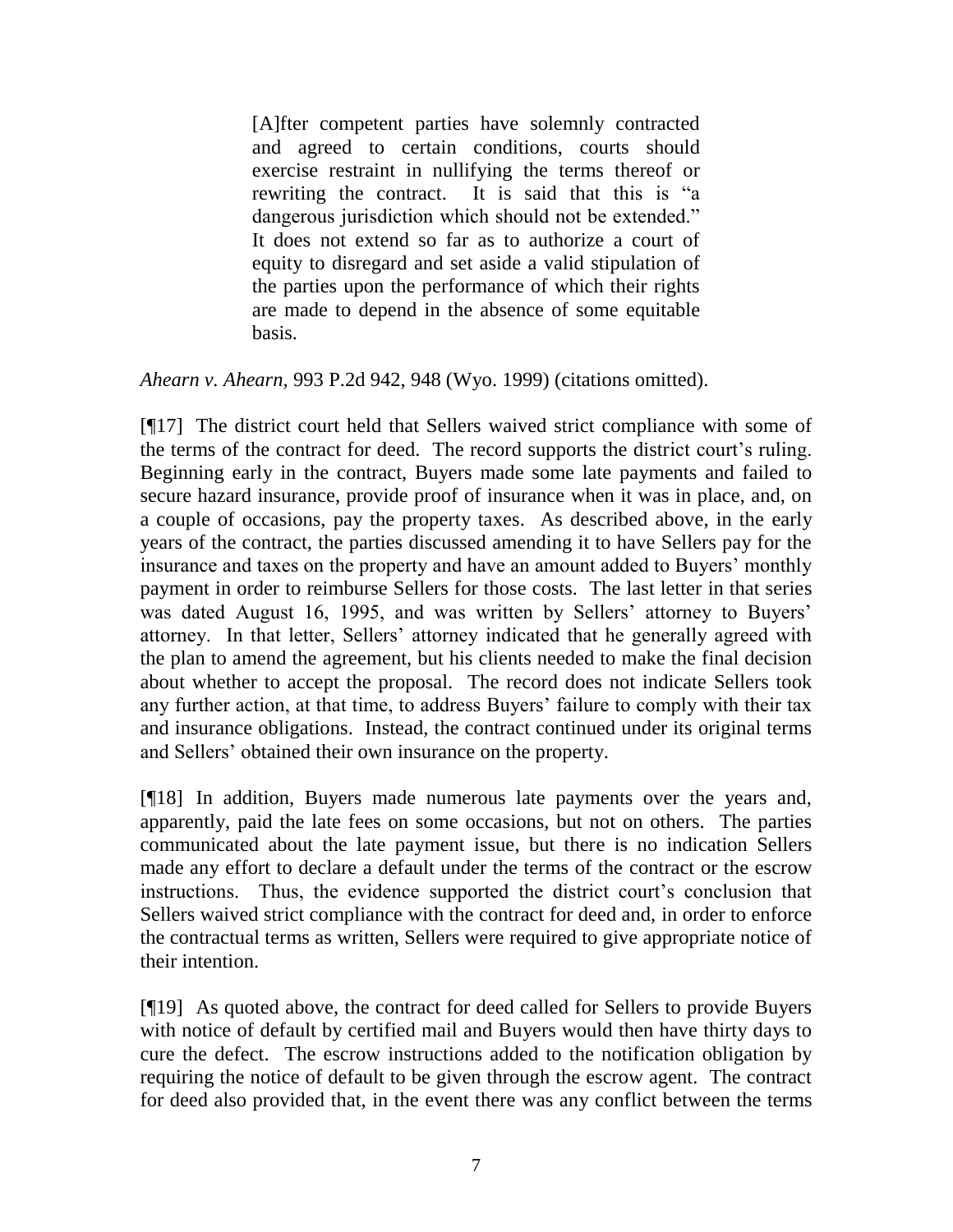[A]fter competent parties have solemnly contracted and agreed to certain conditions, courts should exercise restraint in nullifying the terms thereof or rewriting the contract. It is said that this is "a dangerous jurisdiction which should not be extended." It does not extend so far as to authorize a court of equity to disregard and set aside a valid stipulation of the parties upon the performance of which their rights are made to depend in the absence of some equitable basis.

*Ahearn v. Ahearn,* 993 P.2d 942, 948 (Wyo. 1999) (citations omitted).

[¶17] The district court held that Sellers waived strict compliance with some of the terms of the contract for deed. The record supports the district court's ruling. Beginning early in the contract, Buyers made some late payments and failed to secure hazard insurance, provide proof of insurance when it was in place, and, on a couple of occasions, pay the property taxes. As described above, in the early years of the contract, the parties discussed amending it to have Sellers pay for the insurance and taxes on the property and have an amount added to Buyers" monthly payment in order to reimburse Sellers for those costs. The last letter in that series was dated August 16, 1995, and was written by Sellers' attorney to Buyers' attorney. In that letter, Sellers" attorney indicated that he generally agreed with the plan to amend the agreement, but his clients needed to make the final decision about whether to accept the proposal. The record does not indicate Sellers took any further action, at that time, to address Buyers' failure to comply with their tax and insurance obligations. Instead, the contract continued under its original terms and Sellers" obtained their own insurance on the property.

[¶18] In addition, Buyers made numerous late payments over the years and, apparently, paid the late fees on some occasions, but not on others. The parties communicated about the late payment issue, but there is no indication Sellers made any effort to declare a default under the terms of the contract or the escrow instructions. Thus, the evidence supported the district court's conclusion that Sellers waived strict compliance with the contract for deed and, in order to enforce the contractual terms as written, Sellers were required to give appropriate notice of their intention.

[¶19] As quoted above, the contract for deed called for Sellers to provide Buyers with notice of default by certified mail and Buyers would then have thirty days to cure the defect. The escrow instructions added to the notification obligation by requiring the notice of default to be given through the escrow agent. The contract for deed also provided that, in the event there was any conflict between the terms